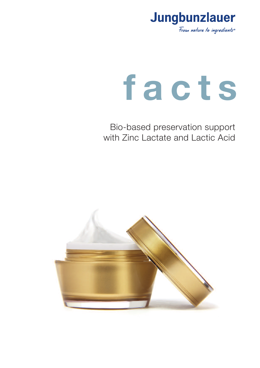

# **f a c t s**

Bio-based preservation support with Zinc Lactate and Lactic Acid

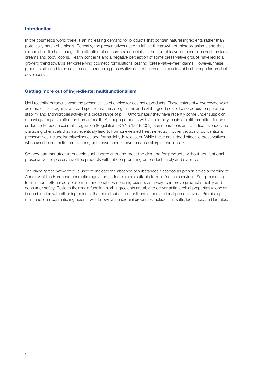### **Introduction**

In the cosmetics world there is an increasing demand for products that contain natural ingredients rather than potentially harsh chemicals. Recently, the preservatives used to inhibit the growth of microorganisms and thus extend shelf-life have caught the attention of consumers, especially in the field of leave-on cosmetics such as face creams and body lotions. Health concerns and a negative perception of some preservative groups have led to a growing trend towards self-preserving cosmetic formulations bearing "preservative-free" claims. However, these products still need to be safe to use, so reducing preservative content presents a considerable challenge for product developers.

# **Getting more out of ingredients: multifunctionalism**

Until recently, parabens were the preservatives of choice for cosmetic products. These esters of 4-hydroxybenzoic acid are efficient against a broad spectrum of microorganisms and exhibit good solubility, no odour, temperature stability and antimicrobial activity in a broad range of pH. <sup>1</sup> Unfortunately they have recently come under suspicion of having a negative effect on human health. Although parabens with a short alkyl chain are still permitted for use under the European cosmetic regulation (Regulation (EC) No 1223/2009), some parabens are classified as endocrine disrupting chemicals that may eventually lead to hormone-related health effects.<sup>1,2</sup> Other groups of conventional preservatives include isothiazolinones and formaldehyde releasers. While these are indeed effective preservatives when used in cosmetic formulations, both have been known to cause allergic reactions.<sup>1,2</sup>

So how can manufacturers avoid such ingredients and meet the demand for products without conventional preservatives or preservative-free products without compromising on product safety and stability?

The claim "preservative free" is used to indicate the absence of substances classified as preservatives according to Annex V of the European cosmetic regulation. In fact a more suitable term is "self-preserving". Self-preserving formulations often incorporate multifunctional cosmetic ingredients as a way to improve product stability and consumer safety. Besides their main function such ingredients are able to deliver antimicrobial properties (alone or in combination with other ingredients) that could substitute for those of conventional preservatives.<sup>2</sup> Promising multifunctional cosmetic ingredients with known antimicrobial properties include zinc salts, lactic acid and lactates.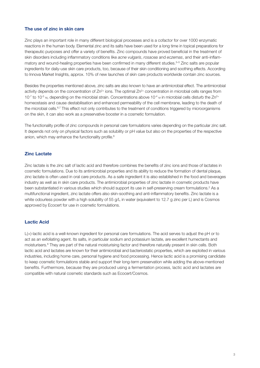# **The use of zinc in skin care**

Zinc plays an important role in many different biological processes and is a cofactor for over 1000 enzymatic reactions in the human body. Elemental zinc and its salts have been used for a long time in topical preparations for therapeutic purposes and offer a variety of benefits. Zinc compounds have proved beneficial in the treatment of skin disorders including inflammatory conditions like *acne vulgaris*, *rosacea* and *eczemas*, and their anti-inflammatory and wound-healing properties have been confirmed in many different studies. 3–5 Zinc salts are popular ingredients for daily-use skin care products, too, because of their skin conditioning and soothing effects. According to Innova Market Insights, approx. 10% of new launches of skin care products worldwide contain zinc sources.

Besides the properties mentioned above, zinc salts are also known to have an antimicrobial effect. The antimicrobial activity depends on the concentration of  $Zn^{2+}$  ions. The optimal  $Zn^{2+}$  concentration in microbial cells ranges from 10<sup>-7</sup> to 10<sup>-5</sup> M, depending on the microbial strain. Concentrations above 10<sup>-4</sup> M in microbial cells disturb the Zn<sup>2+</sup> homeostasis and cause destabilisation and enhanced permeability of the cell membrane, leading to the death of the microbial cells.<sup>6,7</sup> This effect not only contributes to the treatment of conditions triggered by microorganisms on the skin, it can also work as a preservative booster in a cosmetic formulation.

The functionality profile of zinc compounds in personal care formulations varies depending on the particular zinc salt. It depends not only on physical factors such as solubility or pH value but also on the properties of the respective anion, which may enhance the functionality profile. 6

# **Zinc Lactate**

Zinc lactate is the zinc salt of lactic acid and therefore combines the benefits of zinc ions and those of lactates in cosmetic formulations. Due to its antimicrobial properties and its ability to reduce the formation of dental plaque, zinc lactate is often used in oral care products. As a safe ingredient it is also established in the food and beverages industry as well as in skin care products. The antimicrobial properties of zinc lactate in cosmetic products have been substantiated in various studies which should support its use in self-preserving cream formulations.<sup>2</sup> As a multifunctional ingredient, zinc lactate offers also skin-soothing and anti-inflammatory benefits. Zinc lactate is a white odourless powder with a high solubility of 55 g/L in water (equivalent to 12.7 g zinc per L) and is Cosmos approved by Ecocert for use in cosmetic formulations.

# **Lactic Acid**

L(+)-lactic acid is a well-known ingredient for personal care formulations. The acid serves to adjust the pH or to act as an exfoliating agent. Its salts, in particular sodium and potassium lactate, are excellent humectants and moisturisers.<sup>8</sup> They are part of the natural moisturising factor and therefore naturally present in skin cells. Both lactic acid and lactates are known for their antimicrobial and bacteriostatic properties, which are exploited in various industries, including home care, personal hygiene and food processing. Hence lactic acid is a promising candidate to keep cosmetic formulations stable and support their long-term preservation while adding the above-mentioned benefits. Furthermore, because they are produced using a fermentation process, lactic acid and lactates are compatible with natural cosmetic standards such as Ecocert/Cosmos.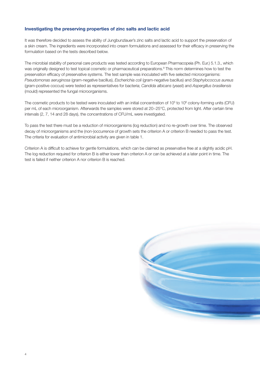## **Investigating the preserving properties of zinc salts and lactic acid**

It was therefore decided to assess the ability of Jungbunzlauer's zinc salts and lactic acid to support the preservation of a skin cream. The ingredients were incorporated into cream formulations and assessed for their efficacy in preserving the formulation based on the tests described below.

The microbial stability of personal care products was tested according to European Pharmacopeia (Ph. Eur.) 5.1.3., which was originally designed to test topical cosmetic or pharmaceutical preparations. <sup>9</sup> This norm determines how to test the preservation efficacy of preservative systems. The test sample was inoculated with five selected microorganisms: *Pseudomonas aeruginosa* (gram-negative bacillus), *Escherichia coli* (gram-negative bacillus) and *Staphylococcus aureus* (gram-positive coccus) were tested as representatives for bacteria; *Candida albicans* (yeast) and *Aspergillus brasiliensis* (mould) represented the fungal microorganisms.

The cosmetic products to be tested were inoculated with an initial concentration of 10<sup>5</sup> to 10<sup>6</sup> colony-forming units (CFU) per mL of each microorganism. Afterwards the samples were stored at 20−25°C, protected from light. After certain time intervals (2, 7, 14 and 28 days), the concentrations of CFU/mL were investigated.

To pass the test there must be a reduction of microorganisms (log reduction) and no re-growth over time. The observed decay of microorganisms and the (non-)occurrence of growth sets the criterion A or criterion B needed to pass the test. The criteria for evaluation of antimicrobial activity are given in table 1.

Criterion A is difficult to achieve for gentle formulations, which can be claimed as preservative free at a slightly acidic pH. The log reduction required for criterion B is either lower than criterion A or can be achieved at a later point in time. The test is failed if neither criterion A nor criterion B is reached.

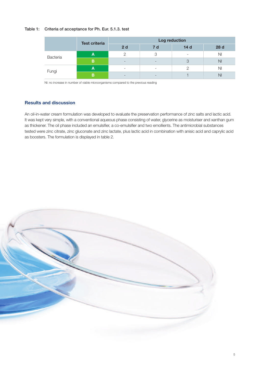## Table 1: Criteria of acceptance for Ph. Eur. 5.1.3. test

| <b>Test criteria</b> |   | Log reduction            |                          |                 |                |  |
|----------------------|---|--------------------------|--------------------------|-----------------|----------------|--|
|                      |   | 2d                       | <b>7</b> d               | 14 <sub>d</sub> | 28 d           |  |
| Bacteria             | A |                          | 3                        | ۰               | N <sub>l</sub> |  |
|                      | B | $\qquad \qquad$          | $\overline{\phantom{0}}$ | 3               | N <sub>l</sub> |  |
| Fungi                | A | $\overline{\phantom{a}}$ | $\overline{\phantom{a}}$ | ヮ               | N <sub>l</sub> |  |
|                      | в | $\sim$                   | $\qquad \qquad$          |                 | NI             |  |

NI: no increase in number of viable microorganisms compared to the previous reading

# **Results and discussion**

An oil-in-water cream formulation was developed to evaluate the preservation performance of zinc salts and lactic acid. It was kept very simple, with a conventional aqueous phase consisting of water, glycerine as moisturiser and xanthan gum as thickener. The oil phase included an emulsifier, a co-emulsifier and two emollients. The antimicrobial substances tested were zinc citrate, zinc gluconate and zinc lactate, plus lactic acid in combination with anisic acid and caprylic acid as boosters. The formulation is displayed in table 2.

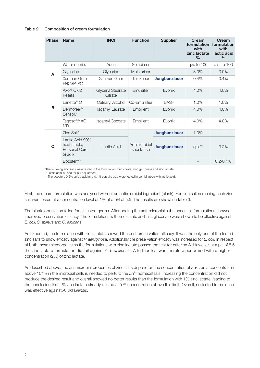#### Table 2: Composition of cream formulation

| <b>Phase</b> | <b>Name</b>                                               | <b>INCI</b>                         | <b>Function</b>            | <b>Supplier</b>      | Cream<br>formulation<br>with<br>zinc lactate<br>$\%$ | Cream<br>formulation<br>with<br>lactic acid<br>$\%$ |
|--------------|-----------------------------------------------------------|-------------------------------------|----------------------------|----------------------|------------------------------------------------------|-----------------------------------------------------|
|              | Water demin.                                              | Aqua                                | Solubiliser                |                      | q.s. to 100                                          | q.s. to 100                                         |
| A            | Glycerine                                                 | Glycerine                           | Moisturiser                |                      | 3.0%                                                 | 3.0%                                                |
|              | Xanthan Gum<br>FNCSP-PC                                   | Xanthan Gum                         | Thickener                  | <b>Jungbunzlauer</b> | 0.4%                                                 | $0.4\%$                                             |
|              | Axol® C 62<br>Pellets                                     | <b>Glyceryl Stearate</b><br>Citrate | Emulsifier                 | Evonik               | 4.0%                                                 | 4.0%                                                |
|              | Lanette <sup>®</sup> $\bigcirc$                           | Cetearyl Alcohol                    | Co-Emulsifier              | <b>BASF</b>          | 1.0%                                                 | 1.0%                                                |
| B            | Dermofeel <sup>®</sup><br>Sensolv                         | <b>Isoamyl Laurate</b>              | Emollient                  | Evonik               | 4.0%                                                 | 4.0%                                                |
|              | Tegosoft <sup>®</sup> AC<br><b>MB</b>                     | Isoamyl Cocoate                     | Emollient                  | Evonik               | 4.0%                                                 | 4.0%                                                |
|              | Zinc Salt*                                                |                                     |                            | <b>Jungbunzlauer</b> | 1.0%                                                 |                                                     |
| C            | Lactic Acid 90%<br>heat stable,<br>Personal Care<br>Grade | Lactic Acid                         | Antimicrobial<br>substance | <b>Jungbunzlauer</b> | $q.s.^{\star\star}$                                  | 3.2%                                                |
|              | Booster***                                                |                                     |                            |                      |                                                      | $0.2 - 0.4\%$                                       |

\*The following zinc salts were tested in the formulation: zinc citrate, zinc gluconate and zinc lactate.

\*\* Lactic acid is used for pH adjustment.

\*\*\*The boosters 0.2% anisic acid and 0.4% caprylic acid were tested in combination with lactic acid.

First, the cream formulation was analysed without an antimicrobial ingredient (blank). For zinc salt screening each zinc salt was tested at a concentration level of 1% at a pH of 5.5. The results are shown in table 3.

The blank formulation failed for all tested germs. After adding the anti-microbial substances, all formulations showed improved preservation efficacy. The formulations with zinc citrate and zinc gluconate were shown to be effective against *E. coli*, *S. aureus* and *C. albicans*.

As expected, the formulation with zinc lactate showed the best preservation efficacy. It was the only one of the tested zinc salts to show efficacy against *P. aeruginosa*. Additionally the preservation efficacy was increased for *E. coli*. In respect of both these microorganisms the formulations with zinc lactate passed the test for criterion A. However, at a pH of 5.5 the zinc lactate formulation did fail against *A. brasiliensis*. A further trial was therefore performed with a higher concentration (2%) of zinc lactate.

As described above, the antimicrobial properties of zinc salts depend on the concentration of  $Zn^{2+}$ , as a concentration above 10 $4$  M in the microbial cells is needed to perturb the  $Zn^2$ + homeostasis. Increasing the concentration did not produce the desired result and overall showed no better results than the formulation with 1% zinc lactate, leading to the conclusion that 1% zinc lactate already offered a  $Zn^{2+}$  concentration above this limit. Overall, no tested formulation was effective against *A. brasiliensis*.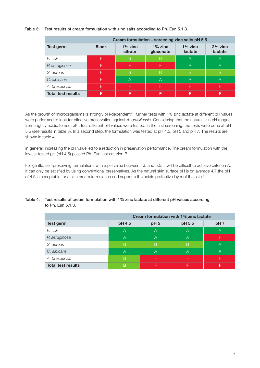## Table 3: Test results of cream formulation with zinc salts according to Ph. Eur. 5.1.3.

| Cream formulation – screening zinc salts pH 5.5 |              |                       |                         |                       |                         |
|-------------------------------------------------|--------------|-----------------------|-------------------------|-----------------------|-------------------------|
| Test germ                                       | <b>Blank</b> | $1\%$ zinc<br>citrate | $1\%$ zinc<br>gluconate | $1\%$ zinc<br>lactate | $2\%$ zinc<br>lactate   |
| F. coli                                         | F            | B                     | B                       | A                     | $\overline{\mathsf{A}}$ |
| P. aeruginosa                                   |              | F                     | F                       | A                     | $\forall$               |
| S. aureus                                       | ⊏            | B                     | B                       | B                     | B                       |
| C. albicans                                     | ⊏            | A                     | $\overline{A}$          | A                     | A                       |
| A. brasiliensis                                 |              | F                     | F.                      |                       |                         |
| <b>Total test results</b>                       | F            |                       |                         |                       |                         |

As the growth of microorganisms is strongly pH-dependent<sup>10</sup>, further tests with 1% zinc lactate at different pH values were performed to look for effective preservation against *A. brasiliensis*. Considering that the natural skin pH ranges from slightly acidic to neutral<sup>11</sup>, four different pH values were tested. In the first screening, the tests were done at pH 5.5 (see results in table 3). In a second step, the formulation was tested at pH 4.5, pH 5 and pH 7. The results are shown in table 4.

In general, increasing the pH value led to a reduction in preservation performance. The cream formulation with the lowest tested pH (pH 4.5) passed Ph. Eur. test criterion B.

For gentle, self-preserving formulations with a pH value between 4.5 and 5.5, it will be difficult to achieve criterion A. It can only be satisfied by using conventional preservatives. As the natural skin surface pH is on average 4.7 the pH of 4.5 is acceptable for a skin cream formulation and supports the acidic protective layer of the skin.<sup>11</sup>

|                           | Cream formulation with 1% zinc lactate |                 |        |                 |  |
|---------------------------|----------------------------------------|-----------------|--------|-----------------|--|
| Test germ                 | pH 4.5                                 | pH <sub>5</sub> | pH 5.5 | pH <sub>7</sub> |  |
| E. coli                   | A                                      | A               | A      | А               |  |
| P. aeruginosa             | A                                      | A               | A      |                 |  |
| S. aureus                 | B                                      | B               | B      |                 |  |
| C. albicans               | А                                      | А               | Α      |                 |  |
| A. brasiliensis           | B                                      |                 |        |                 |  |
| <b>Total test results</b> | в                                      |                 |        |                 |  |

# Table 4: Test results of cream formulation with 1% zinc lactate at different pH values according to Ph. Eur. 5.1.3.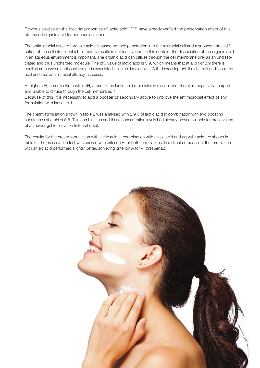Previous studies on the biocidal properties of lactic acid<sup>10,12,13</sup> have already verified the preservation effect of this bio-based organic acid for aqueous solutions.

The antimicrobial effect of organic acids is based on their penetration into the microbial cell and a subsequent acidification of the cell interior, which ultimately results in cell inactivation. In this context, the dissociation of the organic acid in an aqueous environment is important. The organic acid can diffuse through the cell membrane only as an undissociated and thus uncharged molecule. The pK<sub>a</sub> value of lactic acid is 3.9, which means that at a pH of 3.9 there is equilibrium between undissociated and dissociated lactic acid molecules. With decreasing pH, the share of undissociated acid and thus antimicrobial efficacy increases.

At higher pH, namely skin neutral pH, a part of the lactic acid molecules is dissociated, therefore negatively charged and unable to diffuse through the cell membrane. 14

Because of this, it is necessary to add a booster or secondary active to improve the antimicrobial effect of any formulation with lactic acid.

The cream formulation shown in table 2 was analysed with 2.9% of lactic acid in combination with two boosting substances at a pH of 5.5. This combination and these concentration levels had already proved suitable for preservation of a shower gel formulation (internal data).

The results for the cream formulation with lactic acid in combination with anisic acid and caprylic acid are shown in table 5. The preservation test was passed with criterion B for both formulations. In a direct comparison, the formulation with anisic acid performed slightly better, achieving criterion A for *A. brasiliensis*.

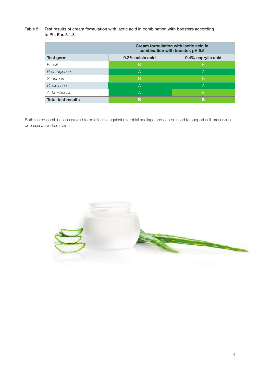Table 5: Test results of cream formulation with lactic acid in combination with boosters according to Ph. Eur. 5.1.3.

|                           | Cream formulation with lactic acid in<br>combination with booster, pH 5.5 |                    |  |  |
|---------------------------|---------------------------------------------------------------------------|--------------------|--|--|
| Test germ                 | 0.2% anisic acid                                                          | 0.4% caprylic acid |  |  |
| E. coli                   | B                                                                         | B                  |  |  |
| P. aeruginosa             | A                                                                         | А                  |  |  |
| S. aureus                 | B                                                                         | B                  |  |  |
| C. albicans               | А                                                                         | А                  |  |  |
| A. brasiliensis           | А                                                                         | В                  |  |  |
| <b>Total test results</b> | в                                                                         | В                  |  |  |

Both tested combinations proved to be effective against microbial spoilage and can be used to support self-preserving or preservative-free claims.

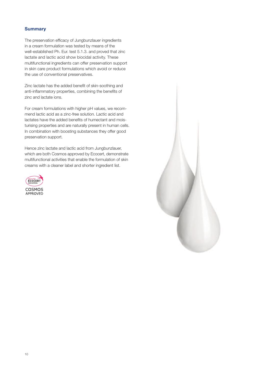# **Summary**

The preservation efficacy of Jungbunzlauer ingredients in a cream formulation was tested by means of the well-established Ph. Eur. test 5.1.3. and proved that zinc lactate and lactic acid show biocidal activity. These multifunctional ingredients can offer preservation support in skin care product formulations which avoid or reduce the use of conventional preservatives.

Zinc lactate has the added benefit of skin-soothing and anti-inflammatory properties, combining the benefits of zinc and lactate ions.

For cream formulations with higher pH values, we recommend lactic acid as a zinc-free solution. Lactic acid and lactates have the added benefits of humectant and moisturising properties and are naturally present in human cells. In combination with boosting substances they offer good preservation support.

Hence zinc lactate and lactic acid from Jungbunzlauer, which are both Cosmos approved by Ecocert, demonstrate multifunctional activities that enable the formulation of skin creams with a cleaner label and shorter ingredient list.



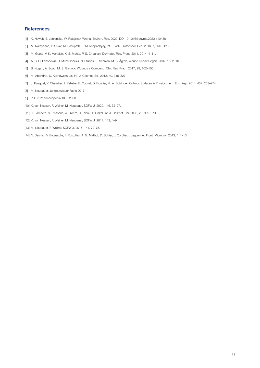### **References**

- [1] K. Nowak, E. Jabłonska, W. Ratajczak-Wrona, Environ. Res. 2020, DOI 10.1016/j.envres.2020.110488. `
- [2] M. Narayanan, P. Sekar, M. Pasupathi, T. Mukhopadhyay, Int. J. Adv. Biotechnol. Res. 2016, 7, 976–2612.
- [3] M. Gupta, V. K. Mahajan, K. S. Mehta, P. S. Chauhan, Dermatol. Res. Pract. 2014, 2014, 1–11.
- [4] A. B. G. Lansdown, U. Mirastschijski, N. Stubbs, E. Scanlon, M. S. Ågren, Wound Repair Regen. 2007, 15, 2–16.
- [5] S. Kogan, A. Sood, M. S. Garnick, Wounds a Compend. Clin. Res. Pract. 2017, 29, 102–106.
- [6] M. Abendrot, U. Kalinowska-Lis, Int. J. Cosmet. Sci. 2018, 40, 319–327.
- [7] J. Pasquet, Y. Chevalier, J. Pelletier, E. Couval, D. Bouvier, M. A. Bolzinger, Colloids Surfaces A Physicochem. Eng. Asp. 2014, 457, 263–274.
- [8] M. Neubauer, Jungbunzlauer Facts 2017.
- [9] In Eur. Pharmacopoeia 10.0, 2020.
- [10] K. von Nessen, F. Weiher, M. Neubauer, SOFW J. 2020, 146, 32–27.
- [11] H. Lambers, S. Piessens, A. Bloem, H. Pronk, P. Finkel, Int. J. Cosmet. Sci. 2006, 28, 359–370.
- [12] K. von Nessen, F. Weiher, M. Neubauer, SOFW J. 2017, 143, 4–9.
- [13] M. Neubauer, F. Weiher, SOFW J. 2015, 141, 72–75.
- [14] N. Desriac, V. Broussolle, F. Postollec, A. G. Mathot, D. Sohier, L. Coroller, I. Leguerinel, Front. Microbiol. 2013, 4, 1–13.